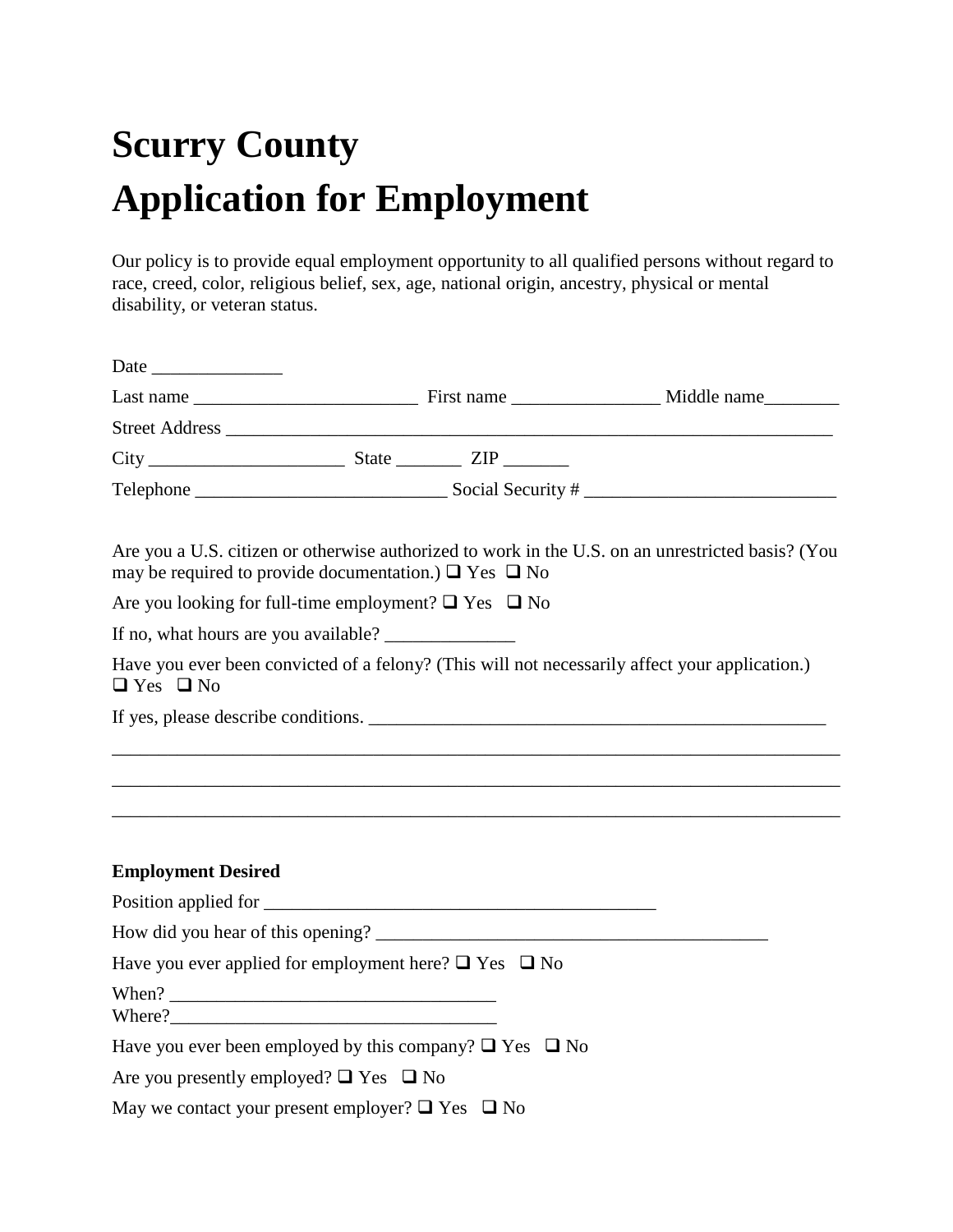## **Scurry County Application for Employment**

Our policy is to provide equal employment opportunity to all qualified persons without regard to race, creed, color, religious belief, sex, age, national origin, ancestry, physical or mental disability, or veteran status.

| may be required to provide documentation.) $\Box$ Yes $\Box$ No   |  | Are you a U.S. citizen or otherwise authorized to work in the U.S. on an unrestricted basis? (You                       |
|-------------------------------------------------------------------|--|-------------------------------------------------------------------------------------------------------------------------|
| Are you looking for full-time employment? $\Box$ Yes $\Box$ No    |  |                                                                                                                         |
|                                                                   |  |                                                                                                                         |
| $\Box$ Yes $\Box$ No                                              |  | Have you ever been convicted of a felony? (This will not necessarily affect your application.)                          |
|                                                                   |  | If yes, please describe conditions.                                                                                     |
|                                                                   |  |                                                                                                                         |
|                                                                   |  | <u> 1989 - Johann Harry Harry Harry Harry Harry Harry Harry Harry Harry Harry Harry Harry Harry Harry Harry Harry H</u> |
| <b>Employment Desired</b>                                         |  |                                                                                                                         |
|                                                                   |  |                                                                                                                         |
|                                                                   |  |                                                                                                                         |
| Have you ever applied for employment here? $\Box$ Yes $\Box$ No   |  |                                                                                                                         |
|                                                                   |  |                                                                                                                         |
| Have you ever been employed by this company? $\Box$ Yes $\Box$ No |  |                                                                                                                         |
| Are you presently employed? $\Box$ Yes $\Box$ No                  |  |                                                                                                                         |
| May we contact your present employer? $\Box$ Yes $\Box$ No        |  |                                                                                                                         |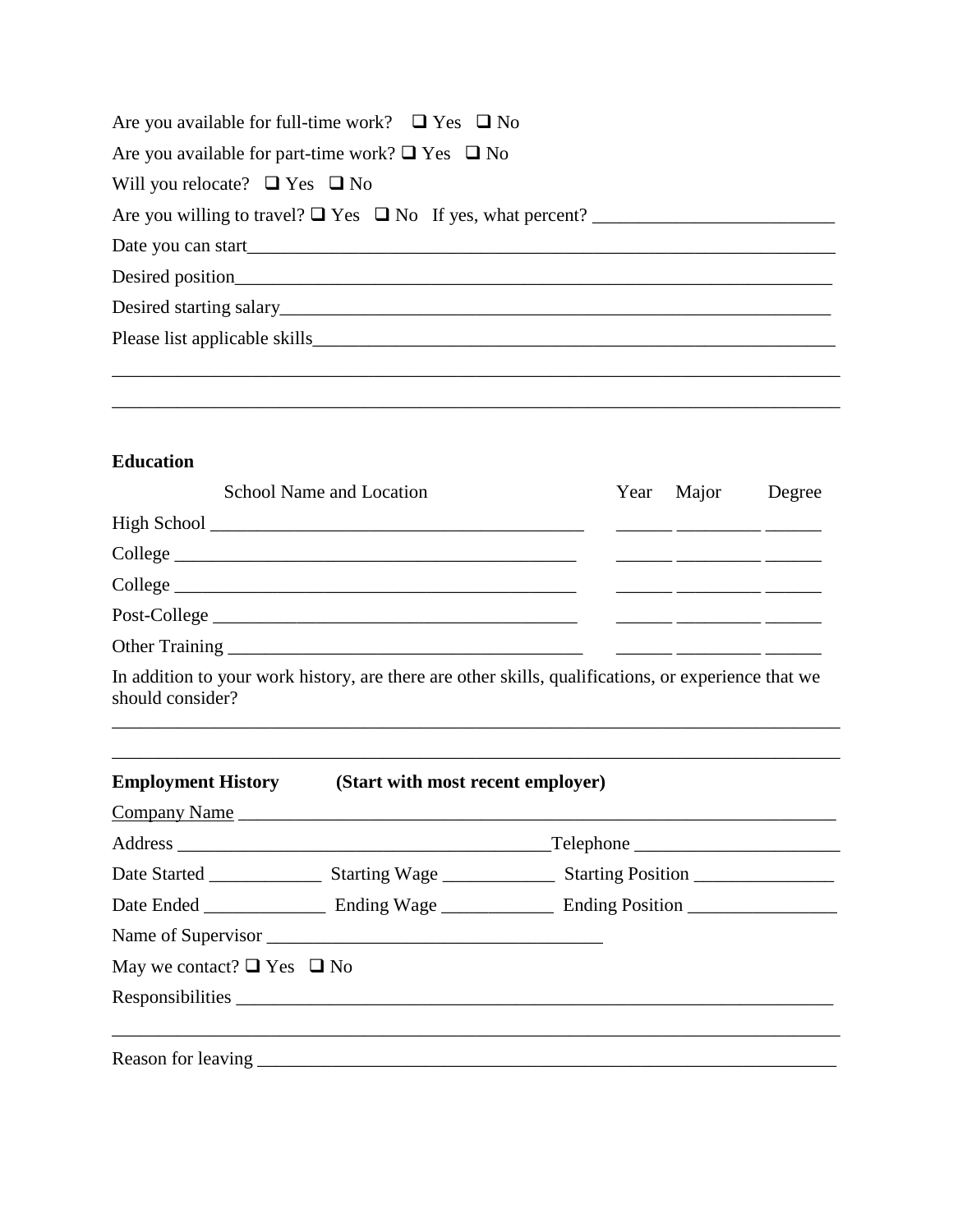| Are you available for full-time work? $\Box$ Yes $\Box$ No |
|------------------------------------------------------------|
| Are you available for part-time work? $\Box$ Yes $\Box$ No |
| Will you relocate? $\Box$ Yes $\Box$ No                    |
|                                                            |
|                                                            |
|                                                            |
|                                                            |
|                                                            |
|                                                            |

\_\_\_\_\_\_\_\_\_\_\_\_\_\_\_\_\_\_\_\_\_\_\_\_\_\_\_\_\_\_\_\_\_\_\_\_\_\_\_\_\_\_\_\_\_\_\_\_\_\_\_\_\_\_\_\_\_\_\_\_\_\_\_\_\_\_\_\_\_\_\_\_\_\_\_\_\_\_

## **Education**

|                                      | School Name and Location                                                                            | Year | Major                                                                                                                                                                                                                                | Degree |
|--------------------------------------|-----------------------------------------------------------------------------------------------------|------|--------------------------------------------------------------------------------------------------------------------------------------------------------------------------------------------------------------------------------------|--------|
|                                      |                                                                                                     |      |                                                                                                                                                                                                                                      |        |
|                                      | College <u>and the collection</u>                                                                   |      | <u> Alexandro Alexandro Alexandro Alexandro Alexandro Alexandro Alexandro Alexandro Alexandro Alexandro Alexandro Alexandro Alexandro Alexandro Alexandro Alexandro Alexandro Alexandro Alexandro Alexandro Alexandro Alexandro </u> |        |
|                                      |                                                                                                     |      | <u> Alexandro Alexandro Alexandro Alexandro </u>                                                                                                                                                                                     |        |
|                                      | Post-College                                                                                        |      | <u> Alexandro Alexandro Alexandro Alexandro </u>                                                                                                                                                                                     |        |
|                                      |                                                                                                     |      |                                                                                                                                                                                                                                      |        |
| should consider?                     | In addition to your work history, are there are other skills, qualifications, or experience that we |      |                                                                                                                                                                                                                                      |        |
|                                      | <b>Employment History</b> (Start with most recent employer)                                         |      |                                                                                                                                                                                                                                      |        |
|                                      |                                                                                                     |      |                                                                                                                                                                                                                                      |        |
|                                      |                                                                                                     |      |                                                                                                                                                                                                                                      |        |
|                                      |                                                                                                     |      |                                                                                                                                                                                                                                      |        |
|                                      |                                                                                                     |      |                                                                                                                                                                                                                                      |        |
| May we contact? $\Box$ Yes $\Box$ No |                                                                                                     |      |                                                                                                                                                                                                                                      |        |
|                                      |                                                                                                     |      |                                                                                                                                                                                                                                      |        |
|                                      | ,我们也不能在这里的时候,我们也不能在这里的时候,我们也不能会不能会不能会不能会不能会不能会不能会不能会不能会不能会。""我们的是,我们也不能会不能会不能会不能                    |      |                                                                                                                                                                                                                                      |        |
|                                      |                                                                                                     |      |                                                                                                                                                                                                                                      |        |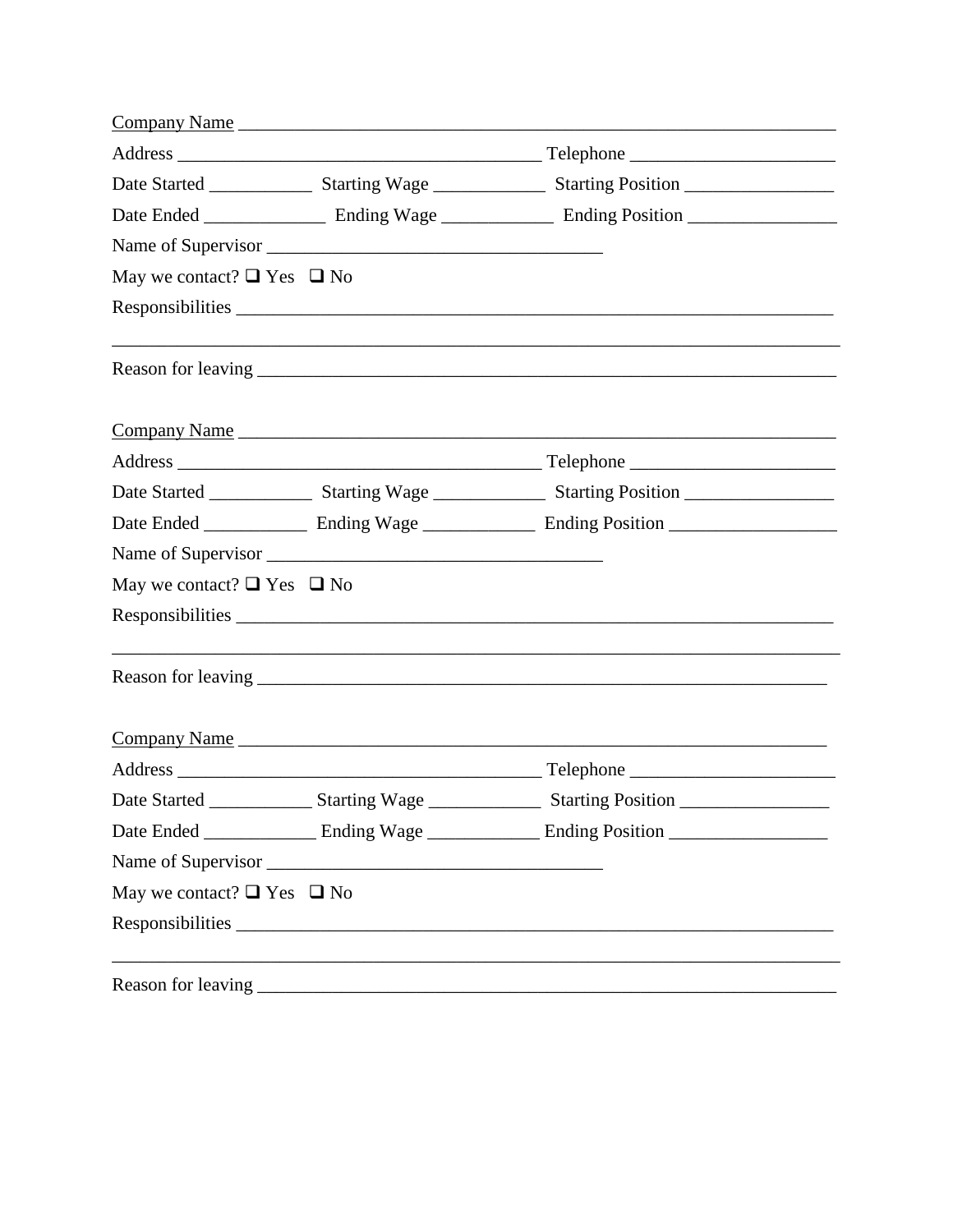|                                      | Company Name |                                                                                                                |  |
|--------------------------------------|--------------|----------------------------------------------------------------------------------------------------------------|--|
|                                      |              |                                                                                                                |  |
|                                      |              |                                                                                                                |  |
|                                      |              |                                                                                                                |  |
|                                      |              |                                                                                                                |  |
| May we contact? $\Box$ Yes $\Box$ No |              |                                                                                                                |  |
|                                      |              |                                                                                                                |  |
|                                      |              | ,我们也不能在这里的时候,我们也不能在这里的时候,我们也不能会在这里,我们也不能会不能会不能会不能会不能会不能会不能会。""我们的是我们的,我们也不能会不能会不                               |  |
|                                      |              | Company Name                                                                                                   |  |
|                                      |              |                                                                                                                |  |
|                                      |              |                                                                                                                |  |
|                                      |              |                                                                                                                |  |
|                                      |              |                                                                                                                |  |
| May we contact? $\Box$ Yes $\Box$ No |              |                                                                                                                |  |
|                                      |              |                                                                                                                |  |
|                                      |              |                                                                                                                |  |
|                                      |              | Company Name                                                                                                   |  |
|                                      |              |                                                                                                                |  |
|                                      |              | Date Started __________________ Starting Wage ____________________ Starting Position _________________________ |  |
|                                      |              | Date Ended _________________ Ending Wage ________________ Ending Position __________________________           |  |
|                                      |              |                                                                                                                |  |
| May we contact? $\Box$ Yes $\Box$ No |              |                                                                                                                |  |
|                                      |              |                                                                                                                |  |
| Reason for leaving                   |              | ,我们也不会有什么。""我们的人,我们也不会有什么?""我们的人,我们也不会有什么?""我们的人,我们的人,我们的人,我们的人,我们的人,我们的人,我们的人,我们                              |  |